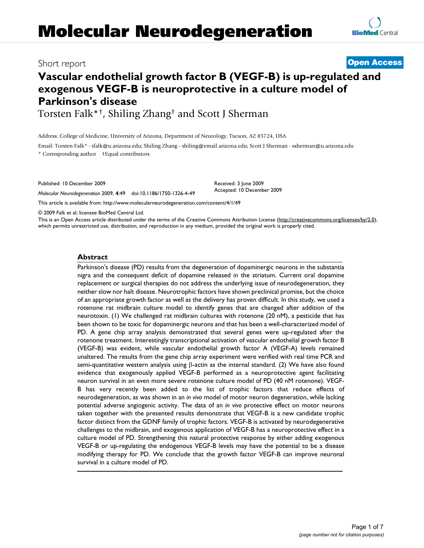## Short report **[Open Access](http://www.biomedcentral.com/info/about/charter/)**

# **Vascular endothelial growth factor B (VEGF-B) is up-regulated and exogenous VEGF-B is neuroprotective in a culture model of Parkinson's disease**

Torsten Falk\*†, Shiling Zhang† and Scott J Sherman

Address: College of Medicine, University of Arizona, Department of Neurology, Tucson, AZ 85724, USA

Email: Torsten Falk\* - tfalk@u.arizona.edu; Shiling Zhang - shiling@email.arizona.edu; Scott J Sherman - ssherman@u.arizona.edu \* Corresponding author †Equal contributors

Published: 10 December 2009

*Molecular Neurodegeneration* 2009, **4**:49 doi:10.1186/1750-1326-4-49

[This article is available from: http://www.molecularneurodegeneration.com/content/4/1/49](http://www.molecularneurodegeneration.com/content/4/1/49)

© 2009 Falk et al; licensee BioMed Central Ltd.

This is an Open Access article distributed under the terms of the Creative Commons Attribution License [\(http://creativecommons.org/licenses/by/2.0\)](http://creativecommons.org/licenses/by/2.0), which permits unrestricted use, distribution, and reproduction in any medium, provided the original work is properly cited.

Received: 3 June 2009 Accepted: 10 December 2009

### **Abstract**

Parkinson's disease (PD) results from the degeneration of dopaminergic neurons in the substantia nigra and the consequent deficit of dopamine released in the striatum. Current oral dopamine replacement or surgical therapies do not address the underlying issue of neurodegeneration, they neither slow nor halt disease. Neurotrophic factors have shown preclinical promise, but the choice of an appropriate growth factor as well as the delivery has proven difficult. In this study, we used a rotenone rat midbrain culture model to identify genes that are changed after addition of the neurotoxin. (1) We challenged rat midbrain cultures with rotenone (20 nM), a pesticide that has been shown to be toxic for dopaminergic neurons and that has been a well-characterized model of PD. A gene chip array analysis demonstrated that several genes were up-regulated after the rotenone treatment. Interestingly transcriptional activation of vascular endothelial growth factor B (VEGF-B) was evident, while vascular endothelial growth factor A (VEGF-A) levels remained unaltered. The results from the gene chip array experiment were verified with real time PCR and semi-quantitative western analysis using β-actin as the internal standard. (2) We have also found evidence that exogenously applied VEGF-B performed as a neuroprotective agent facilitating neuron survival in an even more severe rotenone culture model of PD (40 nM rotenone). VEGF-B has very recently been added to the list of trophic factors that reduce effects of neurodegeneration, as was shown in an *in vivo* model of motor neuron degeneration, while lacking potential adverse angiogenic activity. The data of an *in vivo* protective effect on motor neurons taken together with the presented results demonstrate that VEGF-B is a new candidate trophic factor distinct from the GDNF family of trophic factors. VEGF-B is activated by neurodegenerative challenges to the midbrain, and exogenous application of VEGF-B has a neuroprotective effect in a culture model of PD. Strengthening this natural protective response by either adding exogenous VEGF-B or up-regulating the endogenous VEGF-B levels may have the potential to be a disease modifying therapy for PD. We conclude that the growth factor VEGF-B can improve neuronal survival in a culture model of PD.

**[BioMed](http://www.biomedcentral.com/)** Central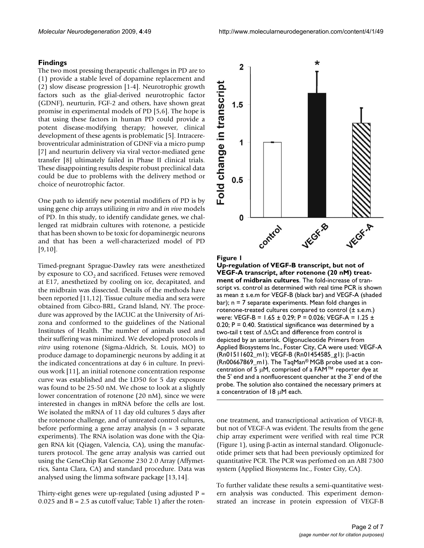### **Findings**

The two most pressing therapeutic challenges in PD are to (1) provide a stable level of dopamine replacement and (2) slow disease progression [1-4]. Neurotrophic growth factors such as the glial-derived neurotrophic factor (GDNF), neurturin, FGF-2 and others, have shown great promise in experimental models of PD [5,6]. The hope is that using these factors in human PD could provide a potent disease-modifying therapy; however, clinical development of these agents is problematic [5]. Intracerebroventricular administration of GDNF via a micro pump [7] and neurturin delivery via viral vector-mediated gene transfer [8] ultimately failed in Phase II clinical trials. These disappointing results despite robust preclinical data could be due to problems with the delivery method or choice of neurotrophic factor.

One path to identify new potential modifiers of PD is by using gene chip arrays utilizing *in vitro* and *in vivo* models of PD. In this study, to identify candidate genes, we challenged rat midbrain cultures with rotenone, a pesticide that has been shown to be toxic for dopaminergic neurons and that has been a well-characterized model of PD [9,10].

Timed-pregnant Sprague-Dawley rats were anesthetized by exposure to  $CO<sub>2</sub>$  and sacrificed. Fetuses were removed at E17, anesthetized by cooling on ice, decapitated, and the midbrain was dissected. Details of the methods have been reported [11,12]. Tissue culture media and sera were obtained from Gibco-BRL, Grand Island, NY. The procedure was approved by the IACUC at the University of Arizona and conformed to the guidelines of the National Institutes of Health. The number of animals used and their suffering was minimized. We developed protocols *in vitro* using rotenone (Sigma-Aldrich, St. Louis, MO) to produce damage to dopaminergic neurons by adding it at the indicated concentrations at day 6 in culture. In previous work [11], an initial rotenone concentration response curve was established and the LD50 for 5 day exposure was found to be 25-50 nM. We chose to look at a slightly lower concentration of rotenone (20 nM), since we were interested in changes in mRNA before the cells are lost. We isolated the mRNA of 11 day old cultures 5 days after the rotenone challenge, and of untreated control cultures, before performing a gene array analysis (n = 3 separate experiments). The RNA isolation was done with the Qiagen RNA kit (Qiagen, Valencia, CA), using the manufacturers protocol. The gene array analysis was carried out using the GeneChip Rat Genome 230 2.0 Array (Affymetrics, Santa Clara, CA) and standard procedure. Data was analysed using the limma software package [13,14].

Thirty-eight genes were up-regulated (using adjusted  $P =$ 0.025 and  $B = 2.5$  as cutoff value; Table 1) after the roten-

 $\star$  $\overline{2}$ Fold change in transcript  $1.5$ 1  $0.5$  $\bf{0}$ control

### Figure 1

**Up-regulation of VEGF-B transcript, but not of VEGF-A transcript, after rotenone (20 nM) treatment of midbrain cultures**. The fold-increase of transcript vs. control as determined with real time PCR is shown as mean ± s.e.m for VEGF-B (black bar) and VEGF-A (shaded bar); n = 7 separate experiments. Mean fold changes in rotenone-treated cultures compared to control (± s.e.m.) were: VEGF-B = 1.65 ± 0.29; P = 0.026; VEGF-A = 1.25 ±  $0.20$ ; P = 0.40. Statistical significance was determined by a two-tail t test of ΔΔCt and difference from control is depicted by an asterisk. Oligonucleotide Primers from Applied Biosystems Inc., Foster City, CA were used: VEGF-A (Rn01511602\_m1); VEGF-B (Rn01454585\_g1); β-actin (Rn00667869\_m1). The TaqMan® MGB probe used at a concentration of 5 μM, comprised of a FAM™ reporter dye at the 5' end and a nonfluorescent quencher at the 3' end of the probe. The solution also contained the necessary primers at a concentration of 18 μM each.

one treatment, and transcriptional activation of VEGF-B, but not of VEGF-A was evident. The results from the gene chip array experiment were verified with real time PCR (Figure 1), using β-actin as internal standard. Oligonucleotide primer sets that had been previously optimized for quantitative PCR. The PCR was perfomed on an ABI 7300 system (Applied Biosystems Inc., Foster City, CA).

To further validate these results a semi-quantitative western analysis was conducted. This experiment demonstrated an increase in protein expression of VEGF-B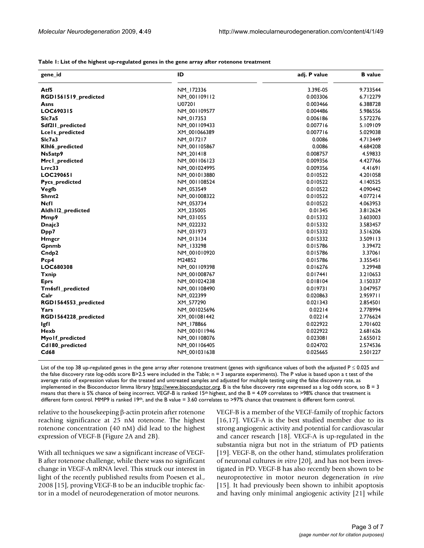| gene_id              | ID           | adj. P value | <b>B</b> value |
|----------------------|--------------|--------------|----------------|
| Atf5                 | NM_172336    | 3.39E-05     | 9.733544       |
| RGD1561519_predicted | NM_001109112 | 0.003306     | 6.712279       |
| Asns                 | U07201       | 0.003466     | 6.388728       |
| LOC690315            | NM_001109577 | 0.004486     | 5.986556       |
| SIc7a5               | NM_017353    | 0.006186     | 5.572276       |
| Sdf2ll_predicted     | NM_001109433 | 0.007716     | 5.109109       |
| Lcels_predicted      | XM 001066389 | 0.007716     | 5.029038       |
| SIc7a3               | NM_017217    | 0.0086       | 4.713449       |
| Klhl6_predicted      | NM_001105867 | 0.0086       | 4.684208       |
| Ns5atp9              | NM 201418    | 0.008757     | 4.59833        |
| Mrc1_predicted       | NM 001106123 | 0.009356     | 4.427766       |
| Lrrc33               | NM_001024995 | 0.009356     | 4.41691        |
| LOC290651            | NM 001013880 | 0.010522     | 4.201058       |
| Pycs_predicted       | NM_001108524 | 0.010522     | 4.140525       |
| Vegfb                | NM_053549    | 0.010522     | 4.090442       |
| Shmt2                | NM_001008322 | 0.010522     | 4.077214       |
| Ncfl                 | NM_053734    | 0.010522     | 4.063953       |
| Aldh112_predicted    | XM_235005    | 0.01345      | 3.812624       |
| Mmp9                 | NM_031055    | 0.015332     | 3.603003       |
| Dnajc3               | NM_022232    | 0.015332     | 3.583457       |
| Dpp7                 | NM_031973    | 0.015332     | 3.516206       |
| <b>H</b> mgcr        | NM_013134    | 0.015332     | 3.509113       |
| Gpnmb                | NM 133298    | 0.015786     | 3.39472        |
| Cndp2                | NM 001010920 | 0.015786     | 3.37061        |
| Pcp4                 | M24852       | 0.015786     | 3.355451       |
| LOC680308            | NM_001109398 | 0.016276     | 3.29948        |
| <b>Txnip</b>         | NM_001008767 | 0.017441     | 3.210653       |
| <b>Eprs</b>          | NM_001024238 | 0.018104     | 3.150337       |
| Tm6sfl_predicted     | NM_001108490 | 0.019731     | 3.047957       |
| Calr                 | NM_022399    | 0.020863     | 2.959711       |
| RGD1564553_predicted | XM_577290    | 0.021343     | 2.854501       |
| Yars                 | NM_001025696 | 0.02214      | 2.778994       |
| RGD1564228_predicted | XM_001081442 | 0.02214      | 2.776624       |
| lgfl                 | NM_178866    | 0.022922     | 2.701602       |
| Hexb                 | NM_001011946 | 0.022922     | 2.681626       |
| Myolf_predicted      | NM_001108076 | 0.023081     | 2.655012       |
| Cd180 predicted      | NM 001106405 | 0.024702     | 2.574536       |

**Table 1: List of the highest up-regulated genes in the gene array after rotenone treatment**

List of the top 38 up-regulated genes in the gene array after rotenone treatment (genes with significance values of both the adjusted  $P \le 0.025$  and the false discovery rate log-odds score B>2.5 were included in the Table; n = 3 separate experiments). The P value is based upon a t test of the average ratio of expression values for the treated and untreated samples and adjusted for multiple testing using the false discovery rate, as implemented in the Bioconductor limma library [http://www.bioconductor.org.](http://www.bioconductor.org) B is the false discovery rate expressed as a log odds score, so  $B = 3$ means that there is 5% chance of being incorrect. VEGF-B is ranked 15th highest, and the B = 4.09 correlates to >98% chance that treatment is different form control. MMP9 is ranked 19<sup>th</sup>, and the B value = 3.60 correlates to >97% chance that treatment is different form control.

**Cd68** NM\_001031638 0.025665 2.501227

relative to the housekeeping β-actin protein after rotenone reaching significance at 25 nM rotenone. The highest rotenone concentration (40 nM) did lead to the highest expression of VEGF-B (Figure 2A and 2B).

With all techniques we saw a significant increase of VEGF-B after rotenone challenge, while there wass no significant change in VEGF-A mRNA level. This struck our interest in light of the recently published results from Poesen et al., 2008 [15], proving VEGF-B to be an inducible trophic factor in a model of neurodegeneration of motor neurons.

VEGF-B is a member of the VEGF-family of trophic factors [16,17]. VEGF-A is the best studied member due to its strong angiogenic activity and potential for cardiovascular and cancer research [18]. VEGF-A is up-regulated in the substantia nigra but not in the striatum of PD patients [19]. VEGF-B, on the other hand, stimulates proliferation of neuronal cultures *in vitro* [20], and has not been investigated in PD. VEGF-B has also recently been shown to be neuroprotective in motor neuron degeneration *in vivo* [15]. It had previously been shown to inhibit apoptosis and having only minimal angiogenic activity [21] while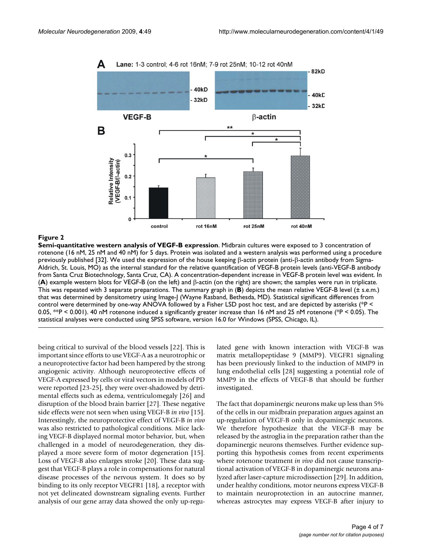

### **Figure 2**

**Semi-quantitative western analysis of VEGF-B expression**. Midbrain cultures were exposed to 3 concentration of rotenone (16 nM, 25 nM and 40 nM) for 5 days. Protein was isolated and a western analysis was performed using a procedure previously published [32]. We used the expression of the house keeping β-actin protein (anti-β-actin antibody from Sigma-Aldrich, St. Louis, MO) as the internal standard for the relative quantification of VEGF-B protein levels (anti-VEGF-B antibody from Santa Cruz Biotechnology, Santa Cruz, CA). A concentration-dependent increase in VEGF-B protein level was evident. In (**A**) example western blots for VEGF-B (on the left) and β-actin (on the right) are shown; the samples were run in triplicate. This was repeated with 3 separate preparations. The summary graph in (**B**) depicts the mean relative VEGF-B level (± s.e.m.) that was determined by densitometry using Image-J (Wayne Rasband, Bethesda, MD). Statistical significant differences from control were determined by one-way ANOVA followed by a Fisher LSD post hoc test, and are depicted by asterisks (\*P < 0.05, \*\*P < 0.001). 40 nM rotenone induced a significantly greater increase than 16 nM and 25 nM rotenone (\*P < 0.05). The statistical analyses were conducted using SPSS software, version 16.0 for Windows (SPSS, Chicago, IL).

being critical to survival of the blood vessels [22]. This is important since efforts to use VEGF-A as a neurotrophic or a neuroprotective factor had been hampered by the strong angiogenic activity. Although neuroprotective effects of VEGF-A expressed by cells or viral vectors in models of PD were reported [23-25], they were over-shadowed by detrimental effects such as edema, ventriculomegaly [26] and disruption of the blood brain barrier [27]. These negative side effects were not seen when using VEGF-B *in vivo* [15]. Interestingly, the neuroprotective effect of VEGF-B *in vivo* was also restricted to pathological conditions. Mice lacking VEGF-B displayed normal motor behavior, but, when challenged in a model of neurodegeneration, they displayed a more severe form of motor degeneration [15]. Loss of VEGF-B also enlarges stroke [20]. These data suggest that VEGF-B plays a role in compensations for natural disease processes of the nervous system. It does so by binding to its only receptor VEGFR1 [18], a receptor with not yet delineated downstream signaling events. Further analysis of our gene array data showed the only up-regulated gene with known interaction with VEGF-B was matrix metallopeptidase 9 (MMP9). VEGFR1 signaling has been previously linked to the induction of MMP9 in lung endothelial cells [28] suggesting a potential role of MMP9 in the effects of VEGF-B that should be further investigated.

The fact that dopaminergic neurons make up less than 5% of the cells in our midbrain preparation argues against an up-regulation of VEGF-B only in dopaminergic neurons. We therefore hypothesize that the VEGF-B may be released by the astroglia in the preparation rather than the dopaminergic neurons themselves. Further evidence supporting this hypothesis comes from recent experiments where rotenone treatment *in vivo* did not cause transcriptional activation of VEGF-B in dopaminergic neurons analyzed after laser-capture microdissection [29]. In addition, under healthy conditions, motor neurons express VEGF-B to maintain neuroprotection in an autocrine manner, whereas astrocytes may express VEGF-B after injury to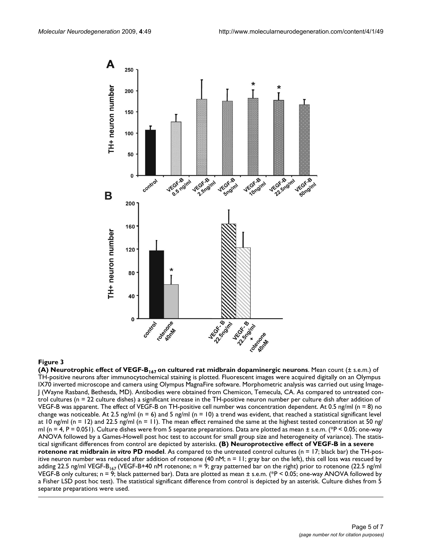

**(A) Neurotrophic effect of VEGF-B167 on cultured rat midbrain dopaminergic neurons**. Mean count (± s.e.m.) of TH-positive neurons after immunocytochemical staining is plotted. Fluorescent images were acquired digitally on an Olympus IX70 inverted microscope and camera using Olympus MagnaFire software. Morphometric analysis was carried out using Image-J (Wayne Rasband, Bethesda, MD). Antibodies were obtained from Chemicon, Temecula, CA. As compared to untreated control cultures (n = 22 culture dishes) a significant increase in the TH-positive neuron number per culture dish after addition of VEGF-B was apparent. The effect of VEGF-B on TH-positive cell number was concentration dependent. At 0.5 ng/ml (n = 8) no change was noticeable. At 2.5 ng/ml (n = 6) and 5 ng/ml (n = 10) a trend was evident, that reached a statistical significant level at 10 ng/ml (n = 12) and 22.5 ng/ml (n = 11). The mean effect remained the same at the highest tested concentration at 50 ng/ ml (n = 4, P = 0.051). Culture dishes were from 5 separate preparations. Data are plotted as mean  $\pm$  s.e.m. (\*P < 0.05; one-way ANOVA followed by a Games-Howell post hoc test to account for small group size and heterogeneity of variance). The statistical significant differences from control are depicted by asterisks. **(B) Neuroprotective effect of VEGF-B in a severe rotenone rat midbrain** *in vitro* **PD model**. As compared to the untreated control cultures (n = 17; black bar) the TH-positive neuron number was reduced after addition of rotenone (40 nM;  $n = 11$ ; gray bar on the left), this cell loss was rescued by adding 22.5 ng/ml VEGF-B<sub>167</sub> (VEGF-B+40 nM rotenone; n = 9; gray patterned bar on the right) prior to rotenone (22.5 ng/ml VEGF-B only cultures; n = 9; black patterned bar). Data are plotted as mean ± s.e.m. (\*P < 0.05; one-way ANOVA followed by a Fisher LSD post hoc test). The statistical significant difference from control is depicted by an asterisk. Culture dishes from 5 separate preparations were used.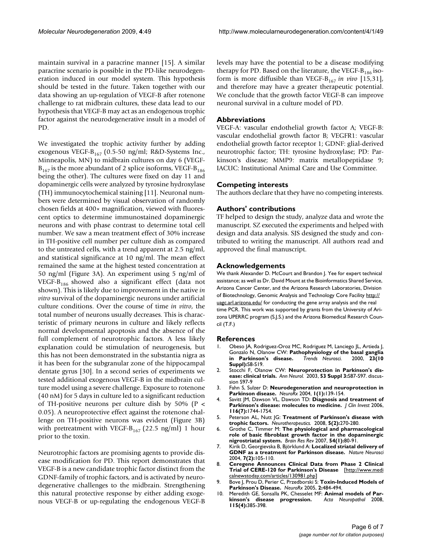maintain survival in a paracrine manner [15]. A similar paracrine scenario is possible in the PD-like neurodegeneration induced in our model system. This hypothesis should be tested in the future. Taken together with our data showing an up-regulation of VEGF-B after rotenone challenge to rat midbrain cultures, these data lead to our hypothesis that VEGF-B may act as an endogenous trophic factor against the neurodegenerative insult in a model of PD.

We investigated the trophic activity further by adding exogenous VEGF- $B_{167}$  (0.5-50 ng/ml; R&D-Systems Inc., Minneapolis, MN) to midbrain cultures on day 6 (VEGF- $B_{167}$  is the more abundant of 2 splice isoforms, VEGF- $B_{186}$ being the other). The cultures were fixed on day 11 and dopaminergic cells were analyzed by tyrosine hydroxylase (TH) immunocytochemical staining [11]. Neuronal numbers were determined by visual observation of randomly chosen fields at 400× magnification, viewed with fluorescent optics to determine immunostained dopaminergic neurons and with phase contrast to determine total cell number. We saw a mean treatment effect of 30% increase in TH-positive cell number per culture dish as compared to the untreated cells, with a trend apparent at 2.5 ng/ml, and statistical significance at 10 ng/ml. The mean effect remained the same at the highest tested concentration at 50 ng/ml (Figure 3A). An experiment using 5 ng/ml of VEGF- $B_{186}$  showed also a significant effect (data not shown). This is likely due to improvement in the native *in vitro* survival of the dopaminergic neurons under artificial culture conditions. Over the course of time *in vitro*, the total number of neurons usually decreases. This is characteristic of primary neurons in culture and likely reflects normal developmental apoptosis and the absence of the full complement of neurotrophic factors. A less likely explanation could be stimulation of neurogenesis, but this has not been demonstrated in the substantia nigra as it has been for the subgranular zone of the hippocampal dentate gyrus [30]. In a second series of experiments we tested additional exogenous VEGF-B in the midbrain culture model using a severe challenge. Exposure to rotenone (40 nM) for 5 days in culture led to a significant reduction of TH-positive neurons per culture dish by  $50\%$  (P < 0.05). A neuroprotective effect against the rotenone challenge on TH-positive neurons was evident (Figure 3B) with pretreatment with VEGF- $B_{167}$  (22.5 ng/ml) 1 hour prior to the toxin.

Neurotrophic factors are promising agents to provide disease modification for PD. This report demonstrates that VEGF-B is a new candidate trophic factor distinct from the GDNF-family of trophic factors, and is activated by neurodegenerative challenges to the midbrain. Strengthening this natural protective response by either adding exogenous VEGF-B or up-regulating the endogenous VEGF-B

levels may have the potential to be a disease modifying therapy for PD. Based on the literature, the VEGF- $B_{186}$  isoform is more diffusible than VEGF-B<sub>167</sub> in vivo [15,31], and therefore may have a greater therapeutic potential. We conclude that the growth factor VEGF-B can improve neuronal survival in a culture model of PD.

### **Abbreviations**

VEGF-A: vascular endothelial growth factor A; VEGF-B: vascular endothelial growth factor B; VEGFR1: vascular endothelial growth factor receptor 1; GDNF: glial-derived neurotrophic factor; TH: tyrosine hydroxylase; PD: Parkinson's disease; MMP9: matrix metallopeptidase 9; IACUC: Institutional Animal Care and Use Committee.

### **Competing interests**

The authors declare that they have no competing interests.

### **Authors' contributions**

TF helped to design the study, analyze data and wrote the manuscript. SZ executed the experiments and helped with design and data analysis. SJS designed the study and contributed to writing the manuscript. All authors read and approved the final manuscript.

### **Acknowledgements**

We thank Alexander D. McCourt and Brandon J. Yee for expert technical assistance; as well as Dr. David Mount at the Bioinformatics Shared Service, Arizona Cancer Center, and the Arizona Research Laboratories, Division of Biotechnology, Genomic Analysis and Technology Core Facility [http://](http://uagc.arl.arizona.edu/) [uagc.arl.arizona.edu/](http://uagc.arl.arizona.edu/) for conducting the gene array analysis and the real time PCR. This work was supported by grants from the University of Arizona UPERRC program (S.J.S.) and the Arizona Biomedical Research Council (T.F.)

### **References**

- 1. Obeso JA, Rodriguez-Oroz MC, Rodriguez M, Lanciego JL, Artieda J, Gonzalo N, Olanow CW: **[Pathophysiology of the basal ganglia](http://www.ncbi.nlm.nih.gov/entrez/query.fcgi?cmd=Retrieve&db=PubMed&dopt=Abstract&list_uids=11052215)** in **Parkinson's** disease. **Suppl):**S8-S19.
- 2. Stocchi F, Olanow CW: **[Neuroprotection in Parkinson's dis](http://www.ncbi.nlm.nih.gov/entrez/query.fcgi?cmd=Retrieve&db=PubMed&dopt=Abstract&list_uids=12666101)[ease: clinical trials.](http://www.ncbi.nlm.nih.gov/entrez/query.fcgi?cmd=Retrieve&db=PubMed&dopt=Abstract&list_uids=12666101)** *Ann Neurol.* 2003, **53 Suppl 3:**S87-S97. discussion S97-9
- 3. Fahn S, Sulzer D: **[Neurodegeneration and neuroprotection in](http://www.ncbi.nlm.nih.gov/entrez/query.fcgi?cmd=Retrieve&db=PubMed&dopt=Abstract&list_uids=15717014) [Parkinson disease.](http://www.ncbi.nlm.nih.gov/entrez/query.fcgi?cmd=Retrieve&db=PubMed&dopt=Abstract&list_uids=15717014)** *NeuroRx* 2004, **1(1):**139-154.
- 4. Savitt JM, Dawson VL, Dawson TD: **[Diagnosis and treatment of](http://www.ncbi.nlm.nih.gov/entrez/query.fcgi?cmd=Retrieve&db=PubMed&dopt=Abstract&list_uids=16823471) [Parkinson's disease: molecules to medicine.](http://www.ncbi.nlm.nih.gov/entrez/query.fcgi?cmd=Retrieve&db=PubMed&dopt=Abstract&list_uids=16823471)** *J Clin Invest* 2006, **116(7):**1744-1754.
- 5. Peterson AL, Nutt JG: **[Treatment of Parkinson's disease with](http://www.ncbi.nlm.nih.gov/entrez/query.fcgi?cmd=Retrieve&db=PubMed&dopt=Abstract&list_uids=18394569) [trophic factors.](http://www.ncbi.nlm.nih.gov/entrez/query.fcgi?cmd=Retrieve&db=PubMed&dopt=Abstract&list_uids=18394569)** *Neurotherapeutics.* 2008, **5(2):**270-280.
- 6. Grothe C, Timmer M: **[The physiological and pharmacological](http://www.ncbi.nlm.nih.gov/entrez/query.fcgi?cmd=Retrieve&db=PubMed&dopt=Abstract&list_uids=17229467) [role of basic fibroblast growth factor in the dopaminergic](http://www.ncbi.nlm.nih.gov/entrez/query.fcgi?cmd=Retrieve&db=PubMed&dopt=Abstract&list_uids=17229467) [nigrostriatal system.](http://www.ncbi.nlm.nih.gov/entrez/query.fcgi?cmd=Retrieve&db=PubMed&dopt=Abstract&list_uids=17229467)** *Brain Res Rev* 2007, **54(1):**80-91.
- 7. Kirik D, Georgievska B, Björklund A: **[Localized striatal delivery of](http://www.ncbi.nlm.nih.gov/entrez/query.fcgi?cmd=Retrieve&db=PubMed&dopt=Abstract&list_uids=14747832) [GDNF as a treatment for Parkinson disease.](http://www.ncbi.nlm.nih.gov/entrez/query.fcgi?cmd=Retrieve&db=PubMed&dopt=Abstract&list_uids=14747832)** *Nature Neurosci* 2004, **7(2):**105-110.
- 8. **Ceregene Announces Clinical Data from Phase 2 Clinical Trial of CERE-120 for Parkinson's Disease** [[http://www.medi](http://www.medicalnewstoday.com/articles/130981.php) [calnewstoday.com/articles/130981.php\]](http://www.medicalnewstoday.com/articles/130981.php)
- 9. Bove J, Prou D, Perier C, Przedborski S: **[Toxin-Induced Models of](http://www.ncbi.nlm.nih.gov/entrez/query.fcgi?cmd=Retrieve&db=PubMed&dopt=Abstract&list_uids=16389312) [Parkinson's Disease.](http://www.ncbi.nlm.nih.gov/entrez/query.fcgi?cmd=Retrieve&db=PubMed&dopt=Abstract&list_uids=16389312)** *NeuroRx* 2005, **2:**484-494.
- 10. Meredith GE, Sonsalla PK, Chesselet MF: **[Animal models of Par](http://www.ncbi.nlm.nih.gov/entrez/query.fcgi?cmd=Retrieve&db=PubMed&dopt=Abstract&list_uids=18273623)[kinson's disease progression.](http://www.ncbi.nlm.nih.gov/entrez/query.fcgi?cmd=Retrieve&db=PubMed&dopt=Abstract&list_uids=18273623)** *Acta Neuropathol* 2008, **115(4):**385-398.